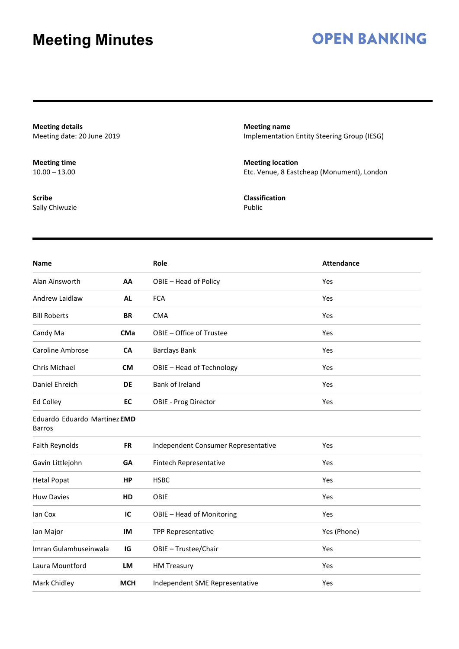## **OPEN BANKING**

**Meeting details** Meeting date: 20 June 2019

**Meeting time**  $10.00 - 13.00$ 

**Scribe** Sally Chiwuzie **Meeting name** Implementation Entity Steering Group (IESG)

**Meeting location** Etc. Venue, 8 Eastcheap (Monument), London

**Classification** Public

| Name                                          |            | Role                                | <b>Attendance</b> |
|-----------------------------------------------|------------|-------------------------------------|-------------------|
| Alan Ainsworth                                | AA         | OBIE - Head of Policy               | Yes               |
| Andrew Laidlaw                                | <b>AL</b>  | <b>FCA</b>                          | Yes               |
| <b>Bill Roberts</b>                           | <b>BR</b>  | <b>CMA</b>                          | Yes               |
| Candy Ma                                      | <b>CMa</b> | OBIE - Office of Trustee            | Yes               |
| Caroline Ambrose                              | <b>CA</b>  | <b>Barclays Bank</b>                | Yes               |
| Chris Michael                                 | <b>CM</b>  | OBIE - Head of Technology           | Yes               |
| Daniel Ehreich                                | DE         | Bank of Ireland                     | Yes               |
| Ed Colley                                     | EC         | OBIE - Prog Director                | Yes               |
| Eduardo Eduardo Martinez EMD<br><b>Barros</b> |            |                                     |                   |
| Faith Reynolds                                | <b>FR</b>  | Independent Consumer Representative | Yes               |
| Gavin Littlejohn                              | GA         | Fintech Representative              | Yes               |
| <b>Hetal Popat</b>                            | <b>HP</b>  | <b>HSBC</b>                         | Yes               |
| <b>Huw Davies</b>                             | HD         | OBIE                                | Yes               |
| lan Cox                                       | IC         | OBIE - Head of Monitoring           | Yes               |
| lan Major                                     | IM         | TPP Representative                  | Yes (Phone)       |
| Imran Gulamhuseinwala                         | IG         | OBIE - Trustee/Chair                | Yes               |
| Laura Mountford                               | LM         | <b>HM Treasury</b>                  | Yes               |
| Mark Chidley                                  | <b>MCH</b> | Independent SME Representative      | Yes               |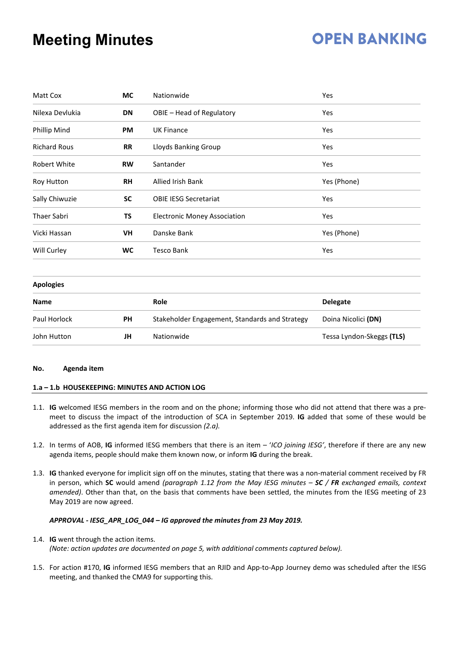# **OPEN BANKING**

| Matt Cox            | МC        | Nationwide                          | Yes         |
|---------------------|-----------|-------------------------------------|-------------|
| Nilexa Devlukia     | DN        | OBIE - Head of Regulatory           | Yes         |
| Phillip Mind        | <b>PM</b> | <b>UK Finance</b>                   | Yes         |
| <b>Richard Rous</b> | <b>RR</b> | Lloyds Banking Group                | Yes         |
| Robert White        | <b>RW</b> | Santander                           | Yes         |
| Roy Hutton          | <b>RH</b> | Allied Irish Bank                   | Yes (Phone) |
| Sally Chiwuzie      | <b>SC</b> | <b>OBIE IESG Secretariat</b>        | Yes         |
| <b>Thaer Sabri</b>  | ΤS        | <b>Electronic Money Association</b> | Yes         |
| Vicki Hassan        | VH        | Danske Bank                         | Yes (Phone) |
| Will Curley         | <b>WC</b> | <b>Tesco Bank</b>                   | Yes         |
|                     |           |                                     |             |

### **Apologies Name Role Delegate**  Paul Horlock **PH** Stakeholder Engagement, Standards and Strategy Doina Nicolici **(DN)** John Hutton **JH** Nationwide Tessa Lyndon-Skeggs **(TLS)**

#### **No. Agenda item**

### **1.a – 1.b HOUSEKEEPING: MINUTES AND ACTION LOG**

- 1.1. **IG** welcomed IESG members in the room and on the phone; informing those who did not attend that there was a premeet to discuss the impact of the introduction of SCA in September 2019. **IG** added that some of these would be addressed as the first agenda item for discussion *(2.a).*
- 1.2. In terms of AOB, **IG** informed IESG members that there is an item '*ICO joining IESG'*, therefore if there are any new agenda items, people should make them known now, or inform **IG** during the break.
- 1.3. **IG** thanked everyone for implicit sign off on the minutes, stating that there was a non-material comment received by FR in person, which **SC** would amend *(paragraph 1.12 from the May IESG minutes – SC / FR exchanged emails, context amended)*. Other than that, on the basis that comments have been settled, the minutes from the IESG meeting of 23 May 2019 are now agreed.

### *APPROVAL - IESG\_APR\_LOG\_044 – IG approved the minutes from 23 May 2019.*

- 1.4. **IG** went through the action items. *(Note: action updates are documented on page 5, with additional comments captured below).*
- 1.5. For action #170, **IG** informed IESG members that an RJID and App-to-App Journey demo was scheduled after the IESG meeting, and thanked the CMA9 for supporting this.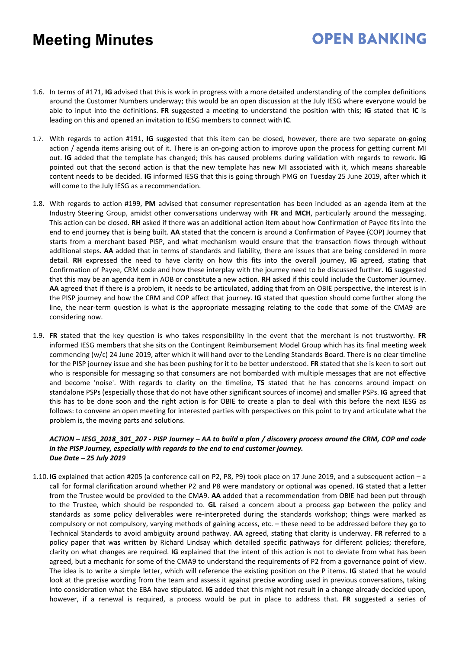1.6. In terms of #171, **IG** advised that this is work in progress with a more detailed understanding of the complex definitions around the Customer Numbers underway; this would be an open discussion at the July IESG where everyone would be able to input into the definitions. **FR** suggested a meeting to understand the position with this; **IG** stated that **IC** is leading on this and opened an invitation to IESG members to connect with **IC**.

**OPEN BANKING** 

- 1.7. With regards to action #191, **IG** suggested that this item can be closed, however, there are two separate on-going action / agenda items arising out of it. There is an on-going action to improve upon the process for getting current MI out. **IG** added that the template has changed; this has caused problems during validation with regards to rework. **IG** pointed out that the second action is that the new template has new MI associated with it, which means shareable content needs to be decided. **IG** informed IESG that this is going through PMG on Tuesday 25 June 2019, after which it will come to the July IESG as a recommendation.
- 1.8. With regards to action #199, **PM** advised that consumer representation has been included as an agenda item at the Industry Steering Group, amidst other conversations underway with **FR** and **MCH**, particularly around the messaging. This action can be closed. **RH** asked if there was an additional action item about how Confirmation of Payee fits into the end to end journey that is being built. **AA** stated that the concern is around a Confirmation of Payee (COP) Journey that starts from a merchant based PISP, and what mechanism would ensure that the transaction flows through without additional steps. **AA** added that in terms of standards and liability, there are issues that are being considered in more detail. **RH** expressed the need to have clarity on how this fits into the overall journey, **IG** agreed, stating that Confirmation of Payee, CRM code and how these interplay with the journey need to be discussed further. **IG** suggested that this may be an agenda item in AOB or constitute a new action. **RH** asked if this could include the Customer Journey. **AA** agreed that if there is a problem, it needs to be articulated, adding that from an OBIE perspective, the interest is in the PISP journey and how the CRM and COP affect that journey. **IG** stated that question should come further along the line, the near-term question is what is the appropriate messaging relating to the code that some of the CMA9 are considering now.
- 1.9. **FR** stated that the key question is who takes responsibility in the event that the merchant is not trustworthy. **FR** informed IESG members that she sits on the Contingent Reimbursement Model Group which has its final meeting week commencing (w/c) 24 June 2019, after which it will hand over to the Lending Standards Board. There is no clear timeline for the PISP journey issue and she has been pushing for it to be better understood. **FR** stated that she is keen to sort out who is responsible for messaging so that consumers are not bombarded with multiple messages that are not effective and become 'noise'. With regards to clarity on the timeline, **TS** stated that he has concerns around impact on standalone PSPs (especially those that do not have other significant sources of income) and smaller PSPs. **IG** agreed that this has to be done soon and the right action is for OBIE to create a plan to deal with this before the next IESG as follows: to convene an open meeting for interested parties with perspectives on this point to try and articulate what the problem is, the moving parts and solutions.

### *ACTION – IESG\_2018\_301\_207 - PISP Journey – AA to build a plan / discovery process around the CRM, COP and code in the PISP Journey, especially with regards to the end to end customer journey. Due Date – 25 July 2019*

1.10. **IG** explained that action #205 (a conference call on P2, P8, P9) took place on 17 June 2019, and a subsequent action – a call for formal clarification around whether P2 and P8 were mandatory or optional was opened. **IG** stated that a letter from the Trustee would be provided to the CMA9. **AA** added that a recommendation from OBIE had been put through to the Trustee, which should be responded to. **GL** raised a concern about a process gap between the policy and standards as some policy deliverables were re-interpreted during the standards workshop; things were marked as compulsory or not compulsory, varying methods of gaining access, etc. – these need to be addressed before they go to Technical Standards to avoid ambiguity around pathway. **AA** agreed, stating that clarity is underway. **FR** referred to a policy paper that was written by Richard Lindsay which detailed specific pathways for different policies; therefore, clarity on what changes are required. **IG** explained that the intent of this action is not to deviate from what has been agreed, but a mechanic for some of the CMA9 to understand the requirements of P2 from a governance point of view. The idea is to write a simple letter, which will reference the existing position on the P items. **IG** stated that he would look at the precise wording from the team and assess it against precise wording used in previous conversations, taking into consideration what the EBA have stipulated. **IG** added that this might not result in a change already decided upon, however, if a renewal is required, a process would be put in place to address that. **FR** suggested a series of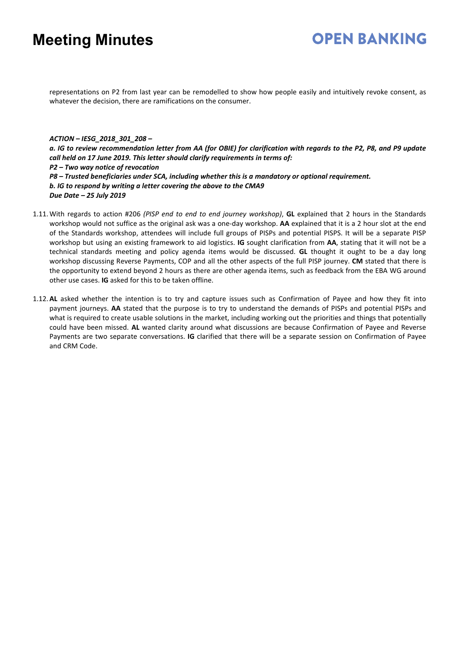### **OPEN BANKING**

representations on P2 from last year can be remodelled to show how people easily and intuitively revoke consent, as whatever the decision, there are ramifications on the consumer.

#### *ACTION – IESG\_2018\_301\_208 –*

*a. IG to review recommendation letter from AA (for OBIE) for clarification with regards to the P2, P8, and P9 update call held on 17 June 2019. This letter should clarify requirements in terms of: P2 – Two way notice of revocation P8 – Trusted beneficiaries under SCA, including whether this is a mandatory or optional requirement. b. IG to respond by writing a letter covering the above to the CMA9 Due Date – 25 July 2019* 

- 1.11.With regards to action #206 *(PISP end to end to end journey workshop)*, **GL** explained that 2 hours in the Standards workshop would not suffice as the original ask was a one-day workshop. **AA** explained that it is a 2 hour slot at the end of the Standards workshop, attendees will include full groups of PISPs and potential PISPS. It will be a separate PISP workshop but using an existing framework to aid logistics. **IG** sought clarification from **AA**, stating that it will not be a technical standards meeting and policy agenda items would be discussed. **GL** thought it ought to be a day long workshop discussing Reverse Payments, COP and all the other aspects of the full PISP journey. **CM** stated that there is the opportunity to extend beyond 2 hours as there are other agenda items, such as feedback from the EBA WG around other use cases. **IG** asked for this to be taken offline.
- 1.12.**AL** asked whether the intention is to try and capture issues such as Confirmation of Payee and how they fit into payment journeys. **AA** stated that the purpose is to try to understand the demands of PISPs and potential PISPs and what is required to create usable solutions in the market, including working out the priorities and things that potentially could have been missed. **AL** wanted clarity around what discussions are because Confirmation of Payee and Reverse Payments are two separate conversations. **IG** clarified that there will be a separate session on Confirmation of Payee and CRM Code.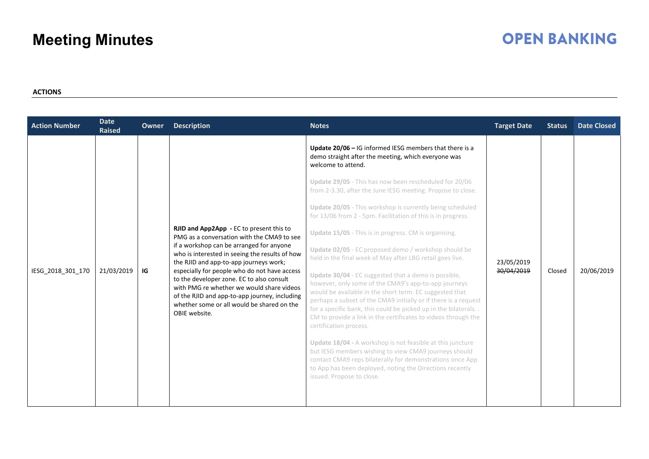# **OPEN BANKING**

### **ACTIONS**

| <b>Action Number</b> | <b>Date</b><br><b>Raised</b> | <b>Owner</b> | <b>Description</b>                                                                                                                                                                                                                                                                                                                                                                                                                           | <b>Notes</b>                                                                                                                                                                                                                                                                                                                                                                                                                                                                                                                                                                                                                                                                                                                                                                                               | <b>Target Date</b>       | <b>Status</b> | <b>Date Closed</b> |
|----------------------|------------------------------|--------------|----------------------------------------------------------------------------------------------------------------------------------------------------------------------------------------------------------------------------------------------------------------------------------------------------------------------------------------------------------------------------------------------------------------------------------------------|------------------------------------------------------------------------------------------------------------------------------------------------------------------------------------------------------------------------------------------------------------------------------------------------------------------------------------------------------------------------------------------------------------------------------------------------------------------------------------------------------------------------------------------------------------------------------------------------------------------------------------------------------------------------------------------------------------------------------------------------------------------------------------------------------------|--------------------------|---------------|--------------------|
|                      |                              |              | RJID and App2App - EC to present this to                                                                                                                                                                                                                                                                                                                                                                                                     | Update 20/06 - IG informed IESG members that there is a<br>demo straight after the meeting, which everyone was<br>welcome to attend.<br>Update 29/05 - This has now been rescheduled for 20/06<br>from 2-3.30, after the June IESG meeting. Propose to close.<br>Update 20/05 - This workshop is currently being scheduled<br>for 13/06 from 2 - 5pm. Facilitation of this is in progress.<br>Update 15/05 - This is in progress. CM is organising.                                                                                                                                                                                                                                                                                                                                                        |                          |               |                    |
| IESG 2018 301 170    | 21/03/2019                   | IG           | PMG as a conversation with the CMA9 to see<br>if a workshop can be arranged for anyone<br>who is interested in seeing the results of how<br>the RJID and app-to-app journeys work;<br>especially for people who do not have access<br>to the developer zone. EC to also consult<br>with PMG re whether we would share videos<br>of the RJID and app-to-app journey, including<br>whether some or all would be shared on the<br>OBIE website. | Update 02/05 - EC proposed demo / workshop should be<br>held in the final week of May after LBG retail goes live.<br>Update 30/04 - EC suggested that a demo is possible,<br>however, only some of the CMA9's app-to-app journeys<br>would be available in the short term. EC suggested that<br>perhaps a subset of the CMA9 initially or if there is a request<br>for a specific bank, this could be picked up in the bilaterals<br>CM to provide a link in the certificates to videos through the<br>certification process.<br>Update 18/04 - A workshop is not feasible at this juncture<br>but IESG members wishing to view CMA9 journeys should<br>contact CMA9 reps bilaterally for demonstrations once App<br>to App has been deployed, noting the Directions recently<br>issued. Propose to close. | 23/05/2019<br>30/04/2019 | Closed        | 20/06/2019         |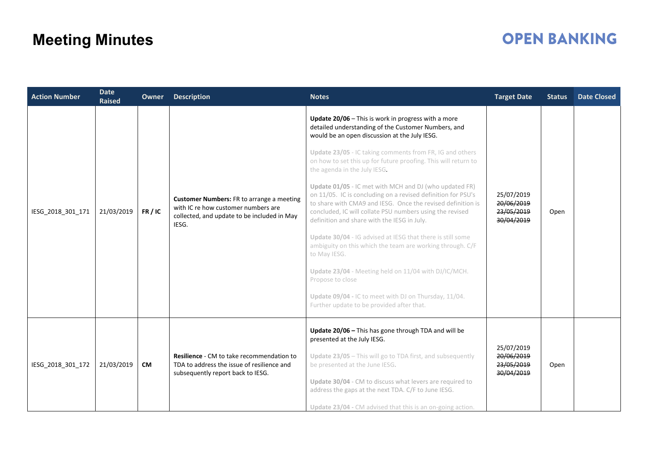| <b>Action Number</b> | <b>Date</b><br><b>Raised</b> | <b>Owner</b> | <b>Description</b>                                                                                                                              | <b>Notes</b>                                                                                                                                                                                                                                                                                                                                                                                                                                                                                                                                                                                                                                                                                                                                                                                                                                                                                                                                               | <b>Target Date</b>                                   | <b>Status</b> | <b>Date Closed</b> |
|----------------------|------------------------------|--------------|-------------------------------------------------------------------------------------------------------------------------------------------------|------------------------------------------------------------------------------------------------------------------------------------------------------------------------------------------------------------------------------------------------------------------------------------------------------------------------------------------------------------------------------------------------------------------------------------------------------------------------------------------------------------------------------------------------------------------------------------------------------------------------------------------------------------------------------------------------------------------------------------------------------------------------------------------------------------------------------------------------------------------------------------------------------------------------------------------------------------|------------------------------------------------------|---------------|--------------------|
| IESG_2018_301_171    | 21/03/2019                   | FR/IC        | <b>Customer Numbers:</b> FR to arrange a meeting<br>with IC re how customer numbers are<br>collected, and update to be included in May<br>IESG. | Update 20/06 - This is work in progress with a more<br>detailed understanding of the Customer Numbers, and<br>would be an open discussion at the July IESG.<br>Update 23/05 - IC taking comments from FR, IG and others<br>on how to set this up for future proofing. This will return to<br>the agenda in the July IESG.<br>Update 01/05 - IC met with MCH and DJ (who updated FR)<br>on 11/05. IC is concluding on a revised definition for PSU's<br>to share with CMA9 and IESG. Once the revised definition is<br>concluded, IC will collate PSU numbers using the revised<br>definition and share with the IESG in July.<br>Update 30/04 - IG advised at IESG that there is still some<br>ambiguity on this which the team are working through. C/F<br>to May IESG.<br>Update 23/04 - Meeting held on 11/04 with DJ/IC/MCH.<br>Propose to close<br>Update 09/04 - IC to meet with DJ on Thursday, 11/04.<br>Further update to be provided after that. | 25/07/2019<br>20/06/2019<br>23/05/2019<br>30/04/2019 | Open          |                    |
| IESG_2018_301_172    | 21/03/2019                   | <b>CM</b>    | Resilience - CM to take recommendation to<br>TDA to address the issue of resilience and<br>subsequently report back to IESG.                    | Update 20/06 - This has gone through TDA and will be<br>presented at the July IESG.<br>Update 23/05 - This will go to TDA first, and subsequently<br>be presented at the June IESG.<br>Update 30/04 - CM to discuss what levers are required to<br>address the gaps at the next TDA. C/F to June IESG.<br>Update 23/04 - CM advised that this is an on-going action.                                                                                                                                                                                                                                                                                                                                                                                                                                                                                                                                                                                       | 25/07/2019<br>20/06/2019<br>23/05/2019<br>30/04/2019 | Open          |                    |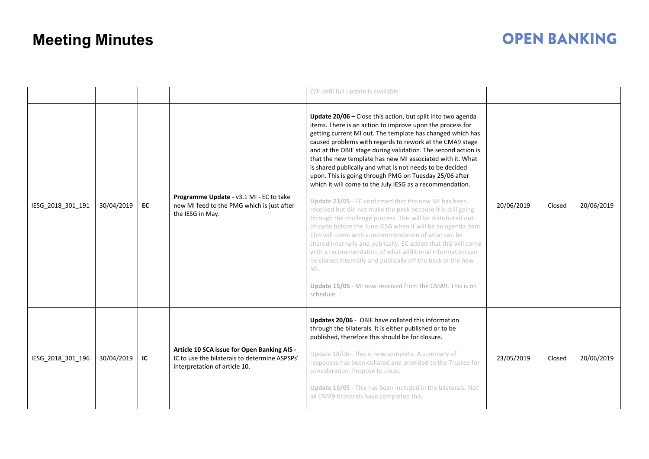|                   |            |           |                                                                                                                               | C/F until full update is available.                                                                                                                                                                                                                                                                                                                                                                                                                                                                                                                                                                                                                                                                                                                                                                                                                                                                                                                                                                                                                                                                                                                             |            |        |            |
|-------------------|------------|-----------|-------------------------------------------------------------------------------------------------------------------------------|-----------------------------------------------------------------------------------------------------------------------------------------------------------------------------------------------------------------------------------------------------------------------------------------------------------------------------------------------------------------------------------------------------------------------------------------------------------------------------------------------------------------------------------------------------------------------------------------------------------------------------------------------------------------------------------------------------------------------------------------------------------------------------------------------------------------------------------------------------------------------------------------------------------------------------------------------------------------------------------------------------------------------------------------------------------------------------------------------------------------------------------------------------------------|------------|--------|------------|
| IESG_2018_301_191 | 30/04/2019 | <b>EC</b> | Programme Update - v3.1 MI - EC to take<br>new MI feed to the PMG which is just after<br>the IESG in May.                     | Update 20/06 - Close this action, but split into two agenda<br>items. There is an action to improve upon the process for<br>getting current MI out. The template has changed which has<br>caused problems with regards to rework at the CMA9 stage<br>and at the OBIE stage during validation. The second action is<br>that the new template has new MI associated with it. What<br>is shared publically and what is not needs to be decided<br>upon. This is going through PMG on Tuesday 25/06 after<br>which it will come to the July IESG as a recommendation.<br>Update 23/05 - EC confirmed that the new MI has been<br>received but did not make the pack because it is still going<br>through the challenge process. This will be distributed out-<br>of-cycle before the June IESG when it will be an agenda item.<br>This will come with a recommendation of what can be<br>shared internally and publically. EC added that this will come<br>with a recommendation of what additional information can<br>be shared internally and publically off the back of the new<br>MI.<br>Update 15/05 - MI now received from the CMA9. This is on<br>schedule. | 20/06/2019 | Closed | 20/06/2019 |
| IESG 2018 301 196 | 30/04/2019 | IC        | Article 10 SCA issue for Open Banking AIS -<br>IC to use the bilaterals to determine ASPSPs'<br>interpretation of article 10. | Updates 20/06 - OBIE have collated this information<br>through the bilaterals. It is either published or to be<br>published, therefore this should be for closure.<br>Update 18/06 - This is now complete. A summary of<br>responses has been collated and provided to the Trustee for<br>consideration. Propose to close.<br>Update 15/05 - This has been included in the bilaterals. Not<br>all CMA9 bilaterals have completed this.                                                                                                                                                                                                                                                                                                                                                                                                                                                                                                                                                                                                                                                                                                                          | 23/05/2019 | Closed | 20/06/2019 |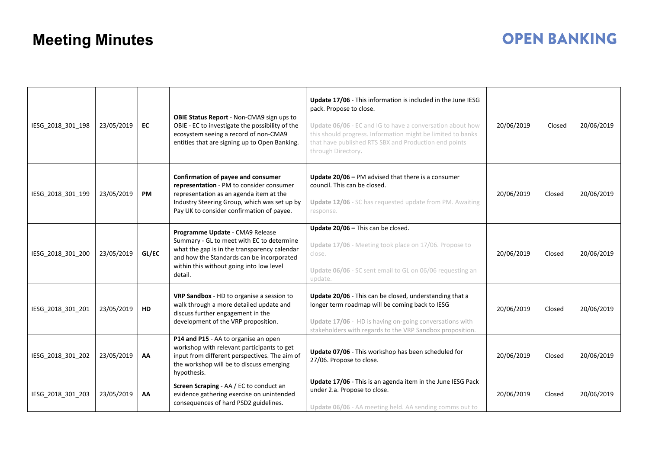| IESG_2018_301_198 | 23/05/2019 | EC        | OBIE Status Report - Non-CMA9 sign ups to<br>OBIE - EC to investigate the possibility of the<br>ecosystem seeing a record of non-CMA9<br>entities that are signing up to Open Banking.                                           | Update 17/06 - This information is included in the June IESG<br>pack. Propose to close.<br>Update 06/06 - EC and IG to have a conversation about how<br>this should progress. Information might be limited to banks<br>that have published RTS SBX and Production end points<br>through Directory. | 20/06/2019 | Closed | 20/06/2019 |
|-------------------|------------|-----------|----------------------------------------------------------------------------------------------------------------------------------------------------------------------------------------------------------------------------------|----------------------------------------------------------------------------------------------------------------------------------------------------------------------------------------------------------------------------------------------------------------------------------------------------|------------|--------|------------|
| IESG_2018_301_199 | 23/05/2019 | PM        | Confirmation of payee and consumer<br>representation - PM to consider consumer<br>representation as an agenda item at the<br>Industry Steering Group, which was set up by<br>Pay UK to consider confirmation of payee.           | Update $20/06$ – PM advised that there is a consumer<br>council. This can be closed.<br>Update 12/06 - SC has requested update from PM. Awaiting<br>response.                                                                                                                                      | 20/06/2019 | Closed | 20/06/2019 |
| IESG_2018_301_200 | 23/05/2019 | GL/EC     | Programme Update - CMA9 Release<br>Summary - GL to meet with EC to determine<br>what the gap is in the transparency calendar<br>and how the Standards can be incorporated<br>within this without going into low level<br>detail. | Update 20/06 - This can be closed.<br>Update 17/06 - Meeting took place on 17/06. Propose to<br>close.<br>Update 06/06 - SC sent email to GL on 06/06 requesting an<br>update.                                                                                                                     | 20/06/2019 | Closed | 20/06/2019 |
| IESG 2018 301 201 | 23/05/2019 | <b>HD</b> | VRP Sandbox - HD to organise a session to<br>walk through a more detailed update and<br>discuss further engagement in the<br>development of the VRP proposition.                                                                 | Update 20/06 - This can be closed, understanding that a<br>longer term roadmap will be coming back to IESG<br>Update 17/06 - HD is having on-going conversations with<br>stakeholders with regards to the VRP Sandbox proposition.                                                                 | 20/06/2019 | Closed | 20/06/2019 |
| IESG_2018_301_202 | 23/05/2019 | AA        | P14 and P15 - AA to organise an open<br>workshop with relevant participants to get<br>input from different perspectives. The aim of<br>the workshop will be to discuss emerging<br>hypothesis.                                   | Update 07/06 - This workshop has been scheduled for<br>27/06. Propose to close.                                                                                                                                                                                                                    | 20/06/2019 | Closed | 20/06/2019 |
| IESG_2018_301_203 | 23/05/2019 | AA        | Screen Scraping - AA / EC to conduct an<br>evidence gathering exercise on unintended<br>consequences of hard PSD2 guidelines.                                                                                                    | Update 17/06 - This is an agenda item in the June IESG Pack<br>under 2.a. Propose to close.<br>Update 06/06 - AA meeting held. AA sending comms out to                                                                                                                                             | 20/06/2019 | Closed | 20/06/2019 |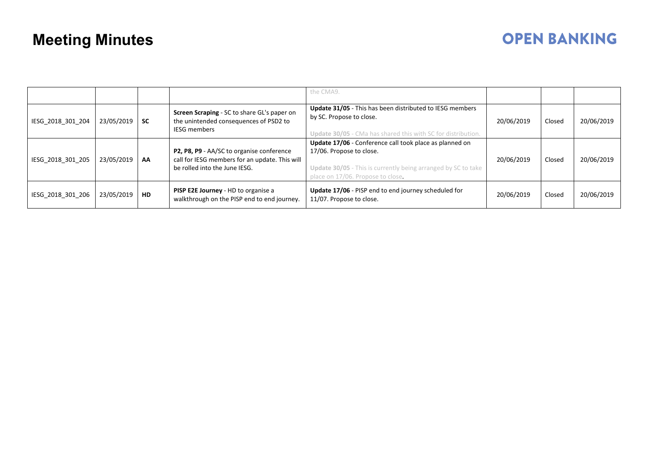|                   |            |           |                                                                                                                              | the CMA9.                                                                                                                                                                                 |            |        |            |
|-------------------|------------|-----------|------------------------------------------------------------------------------------------------------------------------------|-------------------------------------------------------------------------------------------------------------------------------------------------------------------------------------------|------------|--------|------------|
| IESG 2018 301 204 | 23/05/2019 | l SC.     | Screen Scraping - SC to share GL's paper on<br>the unintended consequences of PSD2 to<br><b>IESG members</b>                 | Update 31/05 - This has been distributed to IESG members<br>by SC. Propose to close.<br>Update 30/05 - CMa has shared this with SC for distribution.                                      | 20/06/2019 | Closed | 20/06/2019 |
| IESG 2018 301 205 | 23/05/2019 | AA        | P2, P8, P9 - AA/SC to organise conference<br>call for IESG members for an update. This will<br>be rolled into the June IESG. | Update 17/06 - Conference call took place as planned on<br>17/06. Propose to close.<br>Update 30/05 - This is currently being arranged by SC to take<br>place on 17/06. Propose to close. | 20/06/2019 | Closed | 20/06/2019 |
| IESG 2018 301 206 | 23/05/2019 | <b>HD</b> | PISP E2E Journey - HD to organise a<br>walkthrough on the PISP end to end journey.                                           | Update 17/06 - PISP end to end journey scheduled for<br>11/07. Propose to close.                                                                                                          | 20/06/2019 | Closed | 20/06/2019 |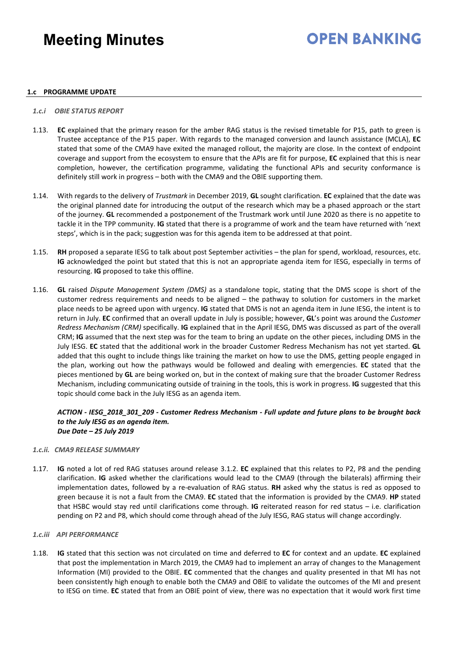# **OPEN BANKING**

### **1.c PROGRAMME UPDATE**

#### *1.c.i OBIE STATUS REPORT*

- 1.13. **EC** explained that the primary reason for the amber RAG status is the revised timetable for P15, path to green is Trustee acceptance of the P15 paper. With regards to the managed conversion and launch assistance (MCLA), **EC** stated that some of the CMA9 have exited the managed rollout, the majority are close. In the context of endpoint coverage and support from the ecosystem to ensure that the APIs are fit for purpose, **EC** explained that this is near completion, however, the certification programme, validating the functional APIs and security conformance is definitely still work in progress – both with the CMA9 and the OBIE supporting them.
- 1.14. With regards to the delivery of *Trustmark* in December 2019, **GL** sought clarification. **EC** explained that the date was the original planned date for introducing the output of the research which may be a phased approach or the start of the journey. **GL** recommended a postponement of the Trustmark work until June 2020 as there is no appetite to tackle it in the TPP community. **IG** stated that there is a programme of work and the team have returned with 'next steps', which is in the pack; suggestion was for this agenda item to be addressed at that point.
- 1.15. **RH** proposed a separate IESG to talk about post September activities the plan for spend, workload, resources, etc. **IG** acknowledged the point but stated that this is not an appropriate agenda item for IESG, especially in terms of resourcing. **IG** proposed to take this offline.
- 1.16. **GL** raised *Dispute Management System (DMS)* as a standalone topic, stating that the DMS scope is short of the customer redress requirements and needs to be aligned – the pathway to solution for customers in the market place needs to be agreed upon with urgency. **IG** stated that DMS is not an agenda item in June IESG, the intent is to return in July. **EC** confirmed that an overall update in July is possible; however, **GL**'s point was around the *Customer Redress Mechanism (CRM)* specifically. **IG** explained that in the April IESG, DMS was discussed as part of the overall CRM; **IG** assumed that the next step was for the team to bring an update on the other pieces, including DMS in the July IESG. **EC** stated that the additional work in the broader Customer Redress Mechanism has not yet started. **GL** added that this ought to include things like training the market on how to use the DMS, getting people engaged in the plan, working out how the pathways would be followed and dealing with emergencies. **EC** stated that the pieces mentioned by **GL** are being worked on, but in the context of making sure that the broader Customer Redress Mechanism, including communicating outside of training in the tools, this is work in progress. **IG** suggested that this topic should come back in the July IESG as an agenda item.

### *ACTION - IESG\_2018\_301\_209 - Customer Redress Mechanism - Full update and future plans to be brought back to the July IESG as an agenda item. Due Date – 25 July 2019*

#### *1.c.ii. CMA9 RELEASE SUMMARY*

1.17. **IG** noted a lot of red RAG statuses around release 3.1.2. **EC** explained that this relates to P2, P8 and the pending clarification. **IG** asked whether the clarifications would lead to the CMA9 (through the bilaterals) affirming their implementation dates, followed by a re-evaluation of RAG status. **RH** asked why the status is red as opposed to green because it is not a fault from the CMA9. **EC** stated that the information is provided by the CMA9. **HP** stated that HSBC would stay red until clarifications come through. **IG** reiterated reason for red status – i.e. clarification pending on P2 and P8, which should come through ahead of the July IESG, RAG status will change accordingly.

### *1.c.iii API PERFORMANCE*

1.18. **IG** stated that this section was not circulated on time and deferred to **EC** for context and an update. **EC** explained that post the implementation in March 2019, the CMA9 had to implement an array of changes to the Management Information (MI) provided to the OBIE. **EC** commented that the changes and quality presented in that MI has not been consistently high enough to enable both the CMA9 and OBIE to validate the outcomes of the MI and present to IESG on time. **EC** stated that from an OBIE point of view, there was no expectation that it would work first time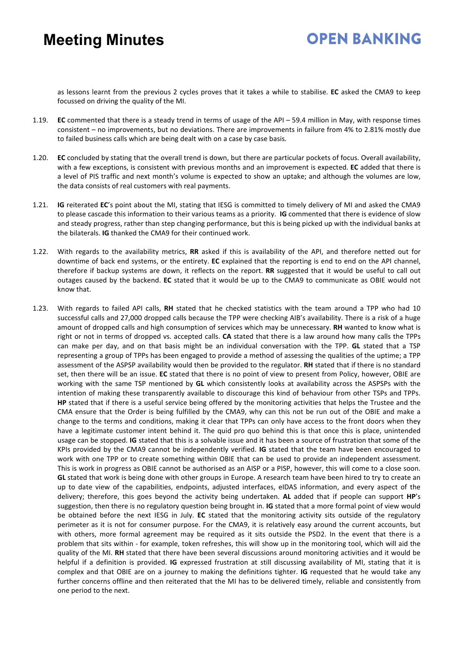### **OPEN BANKING**

as lessons learnt from the previous 2 cycles proves that it takes a while to stabilise. **EC** asked the CMA9 to keep focussed on driving the quality of the MI.

- 1.19. **EC** commented that there is a steady trend in terms of usage of the API 59.4 million in May, with response times consistent – no improvements, but no deviations. There are improvements in failure from 4% to 2.81% mostly due to failed business calls which are being dealt with on a case by case basis.
- 1.20. **EC** concluded by stating that the overall trend is down, but there are particular pockets of focus. Overall availability, with a few exceptions, is consistent with previous months and an improvement is expected. **EC** added that there is a level of PIS traffic and next month's volume is expected to show an uptake; and although the volumes are low, the data consists of real customers with real payments.
- 1.21. **IG** reiterated **EC**'s point about the MI, stating that IESG is committed to timely delivery of MI and asked the CMA9 to please cascade this information to their various teams as a priority. **IG** commented that there is evidence of slow and steady progress, rather than step changing performance, but this is being picked up with the individual banks at the bilaterals. **IG** thanked the CMA9 for their continued work.
- 1.22. With regards to the availability metrics, **RR** asked if this is availability of the API, and therefore netted out for downtime of back end systems, or the entirety. **EC** explained that the reporting is end to end on the API channel, therefore if backup systems are down, it reflects on the report. **RR** suggested that it would be useful to call out outages caused by the backend. **EC** stated that it would be up to the CMA9 to communicate as OBIE would not know that.
- 1.23. With regards to failed API calls, **RH** stated that he checked statistics with the team around a TPP who had 10 successful calls and 27,000 dropped calls because the TPP were checking AIB's availability. There is a risk of a huge amount of dropped calls and high consumption of services which may be unnecessary. **RH** wanted to know what is right or not in terms of dropped vs. accepted calls. **CA** stated that there is a law around how many calls the TPPs can make per day, and on that basis might be an individual conversation with the TPP. **GL** stated that a TSP representing a group of TPPs has been engaged to provide a method of assessing the qualities of the uptime; a TPP assessment of the ASPSP availability would then be provided to the regulator. **RH** stated that if there is no standard set, then there will be an issue. **EC** stated that there is no point of view to present from Policy, however, OBIE are working with the same TSP mentioned by **GL** which consistently looks at availability across the ASPSPs with the intention of making these transparently available to discourage this kind of behaviour from other TSPs and TPPs. **HP** stated that if there is a useful service being offered by the monitoring activities that helps the Trustee and the CMA ensure that the Order is being fulfilled by the CMA9, why can this not be run out of the OBIE and make a change to the terms and conditions, making it clear that TPPs can only have access to the front doors when they have a legitimate customer intent behind it. The quid pro quo behind this is that once this is place, unintended usage can be stopped. **IG** stated that this is a solvable issue and it has been a source of frustration that some of the KPIs provided by the CMA9 cannot be independently verified. **IG** stated that the team have been encouraged to work with one TPP or to create something within OBIE that can be used to provide an independent assessment. This is work in progress as OBIE cannot be authorised as an AISP or a PISP, however, this will come to a close soon. **GL** stated that work is being done with other groups in Europe. A research team have been hired to try to create an up to date view of the capabilities, endpoints, adjusted interfaces, eIDAS information, and every aspect of the delivery; therefore, this goes beyond the activity being undertaken. **AL** added that if people can support **HP**'s suggestion, then there is no regulatory question being brought in. **IG** stated that a more formal point of view would be obtained before the next IESG in July. **EC** stated that the monitoring activity sits outside of the regulatory perimeter as it is not for consumer purpose. For the CMA9, it is relatively easy around the current accounts, but with others, more formal agreement may be required as it sits outside the PSD2. In the event that there is a problem that sits within - for example, token refreshes, this will show up in the monitoring tool, which will aid the quality of the MI. **RH** stated that there have been several discussions around monitoring activities and it would be helpful if a definition is provided. **IG** expressed frustration at still discussing availability of MI, stating that it is complex and that OBIE are on a journey to making the definitions tighter. **IG** requested that he would take any further concerns offline and then reiterated that the MI has to be delivered timely, reliable and consistently from one period to the next.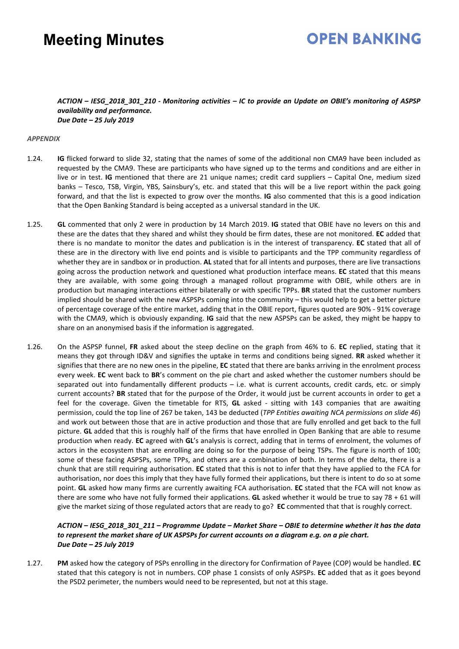# **OPEN BANKING**

*ACTION – IESG\_2018\_301\_210 - Monitoring activities – IC to provide an Update on OBIE's monitoring of ASPSP availability and performance. Due Date – 25 July 2019* 

#### *APPENDIX*

- 1.24. **IG** flicked forward to slide 32, stating that the names of some of the additional non CMA9 have been included as requested by the CMA9. These are participants who have signed up to the terms and conditions and are either in live or in test. **IG** mentioned that there are 21 unique names; credit card suppliers – Capital One, medium sized banks – Tesco, TSB, Virgin, YBS, Sainsbury's, etc. and stated that this will be a live report within the pack going forward, and that the list is expected to grow over the months. **IG** also commented that this is a good indication that the Open Banking Standard is being accepted as a universal standard in the UK.
- 1.25. **GL** commented that only 2 were in production by 14 March 2019. **IG** stated that OBIE have no levers on this and these are the dates that they shared and whilst they should be firm dates, these are not monitored. **EC** added that there is no mandate to monitor the dates and publication is in the interest of transparency. **EC** stated that all of these are in the directory with live end points and is visible to participants and the TPP community regardless of whether they are in sandbox or in production. **AL** stated that for all intents and purposes, there are live transactions going across the production network and questioned what production interface means. **EC** stated that this means they are available, with some going through a managed rollout programme with OBIE, while others are in production but managing interactions either bilaterally or with specific TPPs. **BR** stated that the customer numbers implied should be shared with the new ASPSPs coming into the community – this would help to get a better picture of percentage coverage of the entire market, adding that in the OBIE report, figures quoted are 90% - 91% coverage with the CMA9, which is obviously expanding. **IG** said that the new ASPSPs can be asked, they might be happy to share on an anonymised basis if the information is aggregated.
- 1.26. On the ASPSP funnel, **FR** asked about the steep decline on the graph from 46% to 6. **EC** replied, stating that it means they got through ID&V and signifies the uptake in terms and conditions being signed. **RR** asked whether it signifies that there are no new ones in the pipeline, **EC** stated that there are banks arriving in the enrolment process every week. **EC** went back to **BR**'s comment on the pie chart and asked whether the customer numbers should be separated out into fundamentally different products – i.e. what is current accounts, credit cards, etc. or simply current accounts? **BR** stated that for the purpose of the Order, it would just be current accounts in order to get a feel for the coverage. Given the timetable for RTS, **GL** asked - sitting with 143 companies that are awaiting permission, could the top line of 267 be taken, 143 be deducted (*TPP Entities awaiting NCA permissions on slide 46*) and work out between those that are in active production and those that are fully enrolled and get back to the full picture. **GL** added that this is roughly half of the firms that have enrolled in Open Banking that are able to resume production when ready. **EC** agreed with **GL**'s analysis is correct, adding that in terms of enrolment, the volumes of actors in the ecosystem that are enrolling are doing so for the purpose of being TSPs. The figure is north of 100; some of these facing ASPSPs, some TPPs, and others are a combination of both. In terms of the delta, there is a chunk that are still requiring authorisation. **EC** stated that this is not to infer that they have applied to the FCA for authorisation, nor does this imply that they have fully formed their applications, but there is intent to do so at some point. **GL** asked how many firms are currently awaiting FCA authorisation. **EC** stated that the FCA will not know as there are some who have not fully formed their applications. **GL** asked whether it would be true to say 78 + 61 will give the market sizing of those regulated actors that are ready to go? **EC** commented that that is roughly correct.

### *ACTION – IESG\_2018\_301\_211 – Programme Update – Market Share – OBIE to determine whether it has the data to represent the market share of UK ASPSPs for current accounts on a diagram e.g. on a pie chart. Due Date – 25 July 2019*

1.27. **PM** asked how the category of PSPs enrolling in the directory for Confirmation of Payee (COP) would be handled. **EC** stated that this category is not in numbers. COP phase 1 consists of only ASPSPs. **EC** added that as it goes beyond the PSD2 perimeter, the numbers would need to be represented, but not at this stage.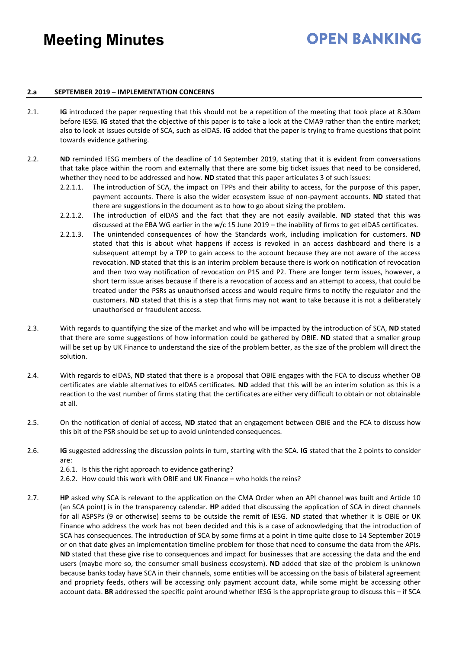# **OPEN RANKING**

### **2.a SEPTEMBER 2019 – IMPLEMENTATION CONCERNS**

- 2.1. **IG** introduced the paper requesting that this should not be a repetition of the meeting that took place at 8.30am before IESG. **IG** stated that the objective of this paper is to take a look at the CMA9 rather than the entire market; also to look at issues outside of SCA, such as eIDAS. **IG** added that the paper is trying to frame questions that point towards evidence gathering.
- 2.2. **ND** reminded IESG members of the deadline of 14 September 2019, stating that it is evident from conversations that take place within the room and externally that there are some big ticket issues that need to be considered, whether they need to be addressed and how. **ND** stated that this paper articulates 3 of such issues:
	- 2.2.1.1. The introduction of SCA, the impact on TPPs and their ability to access, for the purpose of this paper, payment accounts. There is also the wider ecosystem issue of non-payment accounts. **ND** stated that there are suggestions in the document as to how to go about sizing the problem.
	- 2.2.1.2. The introduction of eIDAS and the fact that they are not easily available. **ND** stated that this was discussed at the EBA WG earlier in the w/c 15 June 2019 – the inability of firms to get eIDAS certificates.
	- 2.2.1.3. The unintended consequences of how the Standards work, including implication for customers. **ND** stated that this is about what happens if access is revoked in an access dashboard and there is a subsequent attempt by a TPP to gain access to the account because they are not aware of the access revocation. **ND** stated that this is an interim problem because there is work on notification of revocation and then two way notification of revocation on P15 and P2. There are longer term issues, however, a short term issue arises because if there is a revocation of access and an attempt to access, that could be treated under the PSRs as unauthorised access and would require firms to notify the regulator and the customers. **ND** stated that this is a step that firms may not want to take because it is not a deliberately unauthorised or fraudulent access.
- 2.3. With regards to quantifying the size of the market and who will be impacted by the introduction of SCA, **ND** stated that there are some suggestions of how information could be gathered by OBIE. **ND** stated that a smaller group will be set up by UK Finance to understand the size of the problem better, as the size of the problem will direct the solution.
- 2.4. With regards to eIDAS, **ND** stated that there is a proposal that OBIE engages with the FCA to discuss whether OB certificates are viable alternatives to eIDAS certificates. **ND** added that this will be an interim solution as this is a reaction to the vast number of firms stating that the certificates are either very difficult to obtain or not obtainable at all.
- 2.5. On the notification of denial of access, **ND** stated that an engagement between OBIE and the FCA to discuss how this bit of the PSR should be set up to avoid unintended consequences.
- 2.6. **IG** suggested addressing the discussion points in turn, starting with the SCA. **IG** stated that the 2 points to consider are:

2.6.1. Is this the right approach to evidence gathering?

- 2.6.2. How could this work with OBIE and UK Finance who holds the reins?
- 2.7. **HP** asked why SCA is relevant to the application on the CMA Order when an API channel was built and Article 10 (an SCA point) is in the transparency calendar. **HP** added that discussing the application of SCA in direct channels for all ASPSPs (9 or otherwise) seems to be outside the remit of IESG. **ND** stated that whether it is OBIE or UK Finance who address the work has not been decided and this is a case of acknowledging that the introduction of SCA has consequences. The introduction of SCA by some firms at a point in time quite close to 14 September 2019 or on that date gives an implementation timeline problem for those that need to consume the data from the APIs. **ND** stated that these give rise to consequences and impact for businesses that are accessing the data and the end users (maybe more so, the consumer small business ecosystem). **ND** added that size of the problem is unknown because banks today have SCA in their channels, some entities will be accessing on the basis of bilateral agreement and propriety feeds, others will be accessing only payment account data, while some might be accessing other account data. **BR** addressed the specific point around whether IESG is the appropriate group to discuss this – if SCA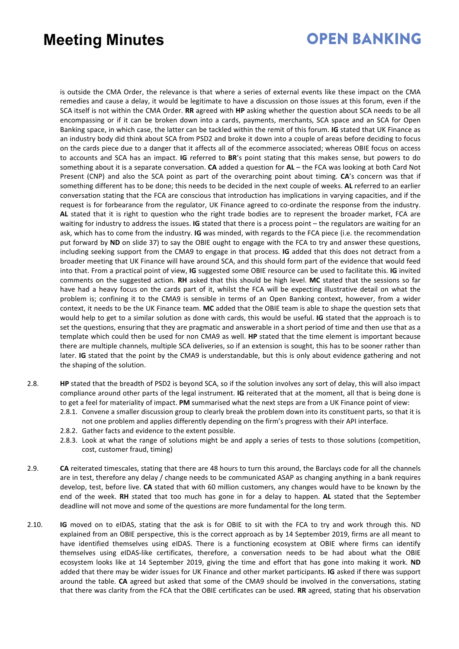# **OPEN BANKING**

is outside the CMA Order, the relevance is that where a series of external events like these impact on the CMA remedies and cause a delay, it would be legitimate to have a discussion on those issues at this forum, even if the SCA itself is not within the CMA Order. **RR** agreed with **HP** asking whether the question about SCA needs to be all encompassing or if it can be broken down into a cards, payments, merchants, SCA space and an SCA for Open Banking space, in which case, the latter can be tackled within the remit of this forum. **IG** stated that UK Finance as an industry body did think about SCA from PSD2 and broke it down into a couple of areas before deciding to focus on the cards piece due to a danger that it affects all of the ecommerce associated; whereas OBIE focus on access to accounts and SCA has an impact. **IG** referred to **BR**'s point stating that this makes sense, but powers to do something about it is a separate conversation. **CA** added a question for **AL** – the FCA was looking at both Card Not Present (CNP) and also the SCA point as part of the overarching point about timing. **CA**'s concern was that if something different has to be done; this needs to be decided in the next couple of weeks. **AL** referred to an earlier conversation stating that the FCA are conscious that introduction has implications in varying capacities, and if the request is for forbearance from the regulator, UK Finance agreed to co-ordinate the response from the industry. **AL** stated that it is right to question who the right trade bodies are to represent the broader market, FCA are waiting for industry to address the issues. **IG** stated that there is a process point – the regulators are waiting for an ask, which has to come from the industry. **IG** was minded, with regards to the FCA piece (i.e. the recommendation put forward by **ND** on slide 37) to say the OBIE ought to engage with the FCA to try and answer these questions, including seeking support from the CMA9 to engage in that process. **IG** added that this does not detract from a broader meeting that UK Finance will have around SCA, and this should form part of the evidence that would feed into that. From a practical point of view, **IG** suggested some OBIE resource can be used to facilitate this. **IG** invited comments on the suggested action. **RH** asked that this should be high level. **MC** stated that the sessions so far have had a heavy focus on the cards part of it, whilst the FCA will be expecting illustrative detail on what the problem is; confining it to the CMA9 is sensible in terms of an Open Banking context, however, from a wider context, it needs to be the UK Finance team. **MC** added that the OBIE team is able to shape the question sets that would help to get to a similar solution as done with cards, this would be useful. **IG** stated that the approach is to set the questions, ensuring that they are pragmatic and answerable in a short period of time and then use that as a template which could then be used for non CMA9 as well. **HP** stated that the time element is important because there are multiple channels, multiple SCA deliveries, so if an extension is sought, this has to be sooner rather than later. **IG** stated that the point by the CMA9 is understandable, but this is only about evidence gathering and not the shaping of the solution.

- 2.8. **HP** stated that the breadth of PSD2 is beyond SCA, so if the solution involves any sort of delay, this will also impact compliance around other parts of the legal instrument. **IG** reiterated that at the moment, all that is being done is to get a feel for materiality of impact. **PM** summarised what the next steps are from a UK Finance point of view:
	- 2.8.1. Convene a smaller discussion group to clearly break the problem down into its constituent parts, so that it is not one problem and applies differently depending on the firm's progress with their API interface.
	- 2.8.2. Gather facts and evidence to the extent possible.
	- 2.8.3. Look at what the range of solutions might be and apply a series of tests to those solutions (competition, cost, customer fraud, timing)
- 2.9. **CA** reiterated timescales, stating that there are 48 hours to turn this around, the Barclays code for all the channels are in test, therefore any delay / change needs to be communicated ASAP as changing anything in a bank requires develop, test, before live. **CA** stated that with 60 million customers, any changes would have to be known by the end of the week. **RH** stated that too much has gone in for a delay to happen. **AL** stated that the September deadline will not move and some of the questions are more fundamental for the long term.
- 2.10. **IG** moved on to eIDAS, stating that the ask is for OBIE to sit with the FCA to try and work through this. ND explained from an OBIE perspective, this is the correct approach as by 14 September 2019, firms are all meant to have identified themselves using eIDAS. There is a functioning ecosystem at OBIE where firms can identify themselves using eIDAS-like certificates, therefore, a conversation needs to be had about what the OBIE ecosystem looks like at 14 September 2019, giving the time and effort that has gone into making it work. **ND** added that there may be wider issues for UK Finance and other market participants. **IG** asked if there was support around the table. **CA** agreed but asked that some of the CMA9 should be involved in the conversations, stating that there was clarity from the FCA that the OBIE certificates can be used. **RR** agreed, stating that his observation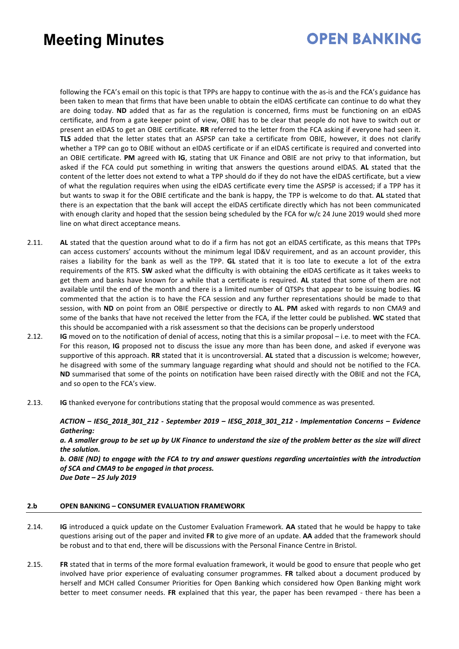# **OPEN BANKING**

following the FCA's email on this topic is that TPPs are happy to continue with the as-is and the FCA's guidance has been taken to mean that firms that have been unable to obtain the eIDAS certificate can continue to do what they are doing today. **ND** added that as far as the regulation is concerned, firms must be functioning on an eIDAS certificate, and from a gate keeper point of view, OBIE has to be clear that people do not have to switch out or present an eIDAS to get an OBIE certificate. **RR** referred to the letter from the FCA asking if everyone had seen it. **TLS** added that the letter states that an ASPSP can take a certificate from OBIE, however, it does not clarify whether a TPP can go to OBIE without an eIDAS certificate or if an eIDAS certificate is required and converted into an OBIE certificate. **PM** agreed with **IG**, stating that UK Finance and OBIE are not privy to that information, but asked if the FCA could put something in writing that answers the questions around eIDAS. **AL** stated that the content of the letter does not extend to what a TPP should do if they do not have the eIDAS certificate, but a view of what the regulation requires when using the eIDAS certificate every time the ASPSP is accessed; if a TPP has it but wants to swap it for the OBIE certificate and the bank is happy, the TPP is welcome to do that. **AL** stated that there is an expectation that the bank will accept the eIDAS certificate directly which has not been communicated with enough clarity and hoped that the session being scheduled by the FCA for w/c 24 June 2019 would shed more line on what direct acceptance means.

- 2.11. **AL** stated that the question around what to do if a firm has not got an eIDAS certificate, as this means that TPPs can access customers' accounts without the minimum legal ID&V requirement, and as an account provider, this raises a liability for the bank as well as the TPP. **GL** stated that it is too late to execute a lot of the extra requirements of the RTS. **SW** asked what the difficulty is with obtaining the eIDAS certificate as it takes weeks to get them and banks have known for a while that a certificate is required. **AL** stated that some of them are not available until the end of the month and there is a limited number of QTSPs that appear to be issuing bodies. **IG** commented that the action is to have the FCA session and any further representations should be made to that session, with **ND** on point from an OBIE perspective or directly to **AL**. **PM** asked with regards to non CMA9 and some of the banks that have not received the letter from the FCA, if the letter could be published. **WC** stated that this should be accompanied with a risk assessment so that the decisions can be properly understood
- 2.12. **IG** moved on to the notification of denial of access, noting that this is a similar proposal i.e. to meet with the FCA. For this reason, **IG** proposed not to discuss the issue any more than has been done, and asked if everyone was supportive of this approach. **RR** stated that it is uncontroversial. **AL** stated that a discussion is welcome; however, he disagreed with some of the summary language regarding what should and should not be notified to the FCA. **ND** summarised that some of the points on notification have been raised directly with the OBIE and not the FCA, and so open to the FCA's view.
- 2.13. **IG** thanked everyone for contributions stating that the proposal would commence as was presented.

*ACTION – IESG\_2018\_301\_212 - September 2019 – IESG\_2018\_301\_212 - Implementation Concerns – Evidence Gathering:* 

*a. A smaller group to be set up by UK Finance to understand the size of the problem better as the size will direct the solution.*

*b. OBIE (ND) to engage with the FCA to try and answer questions regarding uncertainties with the introduction of SCA and CMA9 to be engaged in that process. Due Date – 25 July 2019* 

#### **2.b OPEN BANKING – CONSUMER EVALUATION FRAMEWORK**

- 2.14. **IG** introduced a quick update on the Customer Evaluation Framework. **AA** stated that he would be happy to take questions arising out of the paper and invited **FR** to give more of an update. **AA** added that the framework should be robust and to that end, there will be discussions with the Personal Finance Centre in Bristol.
- 2.15. **FR** stated that in terms of the more formal evaluation framework, it would be good to ensure that people who get involved have prior experience of evaluating consumer programmes. **FR** talked about a document produced by herself and MCH called Consumer Priorities for Open Banking which considered how Open Banking might work better to meet consumer needs. **FR** explained that this year, the paper has been revamped - there has been a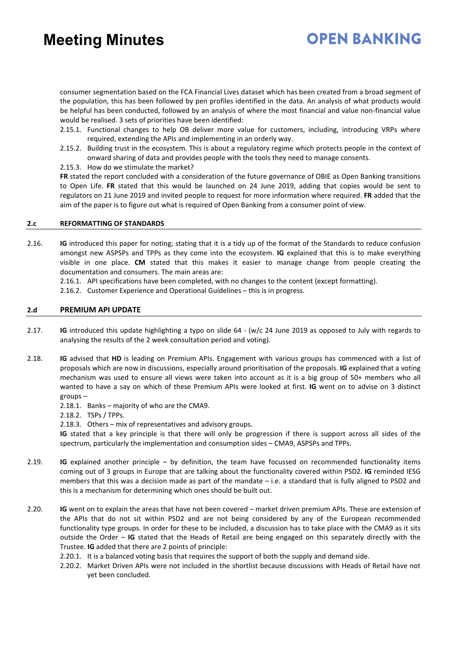# **OPEN BANKING**

consumer segmentation based on the FCA Financial Lives dataset which has been created from a broad segment of the population, this has been followed by pen profiles identified in the data. An analysis of what products would be helpful has been conducted, followed by an analysis of where the most financial and value non-financial value would be realised. 3 sets of priorities have been identified:

- 2.15.1. Functional changes to help OB deliver more value for customers, including, introducing VRPs where required, extending the APIs and implementing in an orderly way.
- 2.15.2. Building trust in the ecosystem. This is about a regulatory regime which protects people in the context of onward sharing of data and provides people with the tools they need to manage consents.
- 2.15.3. How do we stimulate the market?

**FR** stated the report concluded with a consideration of the future governance of OBIE as Open Banking transitions to Open Life. **FR** stated that this would be launched on 24 June 2019, adding that copies would be sent to regulators on 21 June 2019 and invited people to request for more information where required. **FR** added that the aim of the paper is to figure out what is required of Open Banking from a consumer point of view.

#### **2.c REFORMATTING OF STANDARDS**

2.16. **IG** introduced this paper for noting; stating that it is a tidy up of the format of the Standards to reduce confusion amongst new ASPSPs and TPPs as they come into the ecosystem. **IG** explained that this is to make everything visible in one place. **CM** stated that this makes it easier to manage change from people creating the documentation and consumers. The main areas are:

2.16.1. API specifications have been completed, with no changes to the content (except formatting).

2.16.2. Customer Experience and Operational Guidelines – this is in progress.

### **2.d PREMIUM API UPDATE**

- 2.17. **IG** introduced this update highlighting a typo on slide 64 (w/c 24 June 2019 as opposed to July with regards to analysing the results of the 2 week consultation period and voting).
- 2.18. **IG** advised that **HD** is leading on Premium APIs. Engagement with various groups has commenced with a list of proposals which are now in discussions, especially around prioritisation of the proposals. **IG** explained that a voting mechanism was used to ensure all views were taken into account as it is a big group of 50+ members who all wanted to have a say on which of these Premium APIs were looked at first. **IG** went on to advise on 3 distinct groups –
	- 2.18.1. Banks majority of who are the CMA9.
	- 2.18.2. TSPs / TPPs.
	- 2.18.3. Others mix of representatives and advisory groups.

**IG** stated that a key principle is that there will only be progression if there is support across all sides of the spectrum, particularly the implementation and consumption sides – CMA9, ASPSPs and TPPs.

- 2.19. **IG** explained another principle by definition, the team have focussed on recommended functionality items coming out of 3 groups in Europe that are talking about the functionality covered within PSD2. **IG** reminded IESG members that this was a decision made as part of the mandate – i.e. a standard that is fully aligned to PSD2 and this is a mechanism for determining which ones should be built out.
- 2.20. **IG** went on to explain the areas that have not been covered market driven premium APIs. These are extension of the APIs that do not sit within PSD2 and are not being considered by any of the European recommended functionality type groups. In order for these to be included, a discussion has to take place with the CMA9 as it sits outside the Order – **IG** stated that the Heads of Retail are being engaged on this separately directly with the Trustee. **IG** added that there are 2 points of principle:
	- 2.20.1. It is a balanced voting basis that requires the support of both the supply and demand side.
	- 2.20.2. Market Driven APIs were not included in the shortlist because discussions with Heads of Retail have not yet been concluded.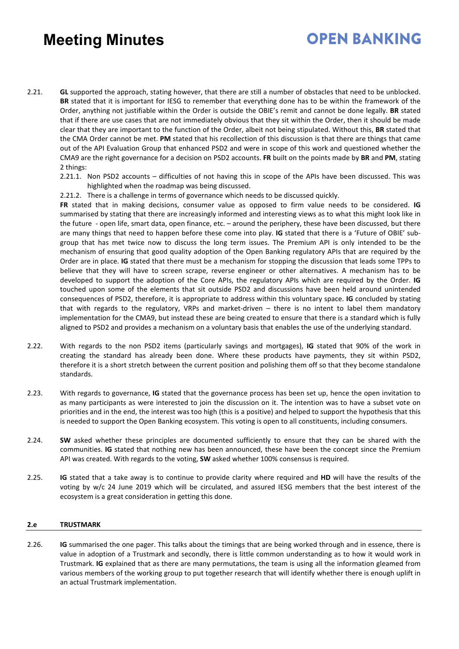- 2.21. **GL** supported the approach, stating however, that there are still a number of obstacles that need to be unblocked. **BR** stated that it is important for IESG to remember that everything done has to be within the framework of the Order, anything not justifiable within the Order is outside the OBIE's remit and cannot be done legally. **BR** stated that if there are use cases that are not immediately obvious that they sit within the Order, then it should be made clear that they are important to the function of the Order, albeit not being stipulated. Without this, **BR** stated that the CMA Order cannot be met. **PM** stated that his recollection of this discussion is that there are things that came out of the API Evaluation Group that enhanced PSD2 and were in scope of this work and questioned whether the CMA9 are the right governance for a decision on PSD2 accounts. **FR** built on the points made by **BR** and **PM**, stating 2 things:
	- 2.21.1. Non PSD2 accounts difficulties of not having this in scope of the APIs have been discussed. This was highlighted when the roadmap was being discussed.

**OPEN BANKING** 

2.21.2. There is a challenge in terms of governance which needs to be discussed quickly.

**FR** stated that in making decisions, consumer value as opposed to firm value needs to be considered. **IG** summarised by stating that there are increasingly informed and interesting views as to what this might look like in the future - open life, smart data, open finance, etc. – around the periphery, these have been discussed, but there are many things that need to happen before these come into play. **IG** stated that there is a 'Future of OBIE' subgroup that has met twice now to discuss the long term issues. The Premium API is only intended to be the mechanism of ensuring that good quality adoption of the Open Banking regulatory APIs that are required by the Order are in place. **IG** stated that there must be a mechanism for stopping the discussion that leads some TPPs to believe that they will have to screen scrape, reverse engineer or other alternatives. A mechanism has to be developed to support the adoption of the Core APIs, the regulatory APIs which are required by the Order. **IG** touched upon some of the elements that sit outside PSD2 and discussions have been held around unintended consequences of PSD2, therefore, it is appropriate to address within this voluntary space. **IG** concluded by stating that with regards to the regulatory, VRPs and market-driven – there is no intent to label them mandatory implementation for the CMA9, but instead these are being created to ensure that there is a standard which is fully aligned to PSD2 and provides a mechanism on a voluntary basis that enables the use of the underlying standard.

- 2.22. With regards to the non PSD2 items (particularly savings and mortgages), **IG** stated that 90% of the work in creating the standard has already been done. Where these products have payments, they sit within PSD2, therefore it is a short stretch between the current position and polishing them off so that they become standalone standards.
- 2.23. With regards to governance, **IG** stated that the governance process has been set up, hence the open invitation to as many participants as were interested to join the discussion on it. The intention was to have a subset vote on priorities and in the end, the interest was too high (this is a positive) and helped to support the hypothesis that this is needed to support the Open Banking ecosystem. This voting is open to all constituents, including consumers.
- 2.24. **SW** asked whether these principles are documented sufficiently to ensure that they can be shared with the communities. **IG** stated that nothing new has been announced, these have been the concept since the Premium API was created. With regards to the voting, **SW** asked whether 100% consensus is required.
- 2.25. **IG** stated that a take away is to continue to provide clarity where required and **HD** will have the results of the voting by w/c 24 June 2019 which will be circulated, and assured IESG members that the best interest of the ecosystem is a great consideration in getting this done.

### **2.e TRUSTMARK**

2.26. **IG** summarised the one pager. This talks about the timings that are being worked through and in essence, there is value in adoption of a Trustmark and secondly, there is little common understanding as to how it would work in Trustmark. **IG** explained that as there are many permutations, the team is using all the information gleamed from various members of the working group to put together research that will identify whether there is enough uplift in an actual Trustmark implementation.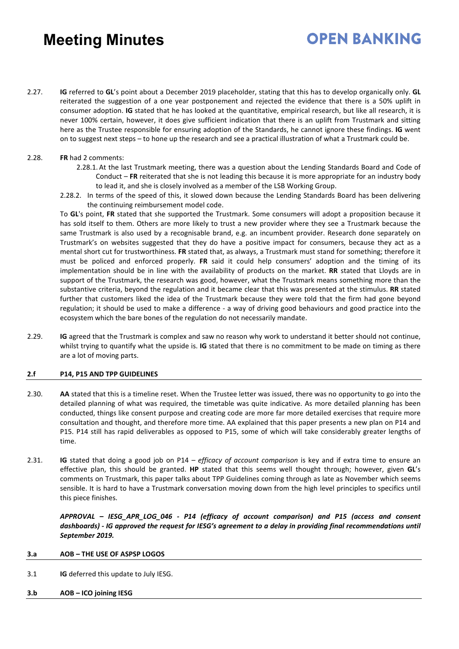2.27. **IG** referred to **GL**'s point about a December 2019 placeholder, stating that this has to develop organically only. **GL** reiterated the suggestion of a one year postponement and rejected the evidence that there is a 50% uplift in consumer adoption. **IG** stated that he has looked at the quantitative, empirical research, but like all research, it is never 100% certain, however, it does give sufficient indication that there is an uplift from Trustmark and sitting here as the Trustee responsible for ensuring adoption of the Standards, he cannot ignore these findings. **IG** went on to suggest next steps – to hone up the research and see a practical illustration of what a Trustmark could be.

### 2.28. **FR** had 2 comments:

2.28.1. At the last Trustmark meeting, there was a question about the Lending Standards Board and Code of Conduct – **FR** reiterated that she is not leading this because it is more appropriate for an industry body to lead it, and she is closely involved as a member of the LSB Working Group.

**OPEN BANKING** 

2.28.2. In terms of the speed of this, it slowed down because the Lending Standards Board has been delivering the continuing reimbursement model code.

To **GL**'s point, **FR** stated that she supported the Trustmark. Some consumers will adopt a proposition because it has sold itself to them. Others are more likely to trust a new provider where they see a Trustmark because the same Trustmark is also used by a recognisable brand, e.g. an incumbent provider. Research done separately on Trustmark's on websites suggested that they do have a positive impact for consumers, because they act as a mental short cut for trustworthiness. **FR** stated that, as always, a Trustmark must stand for something; therefore it must be policed and enforced properly. **FR** said it could help consumers' adoption and the timing of its implementation should be in line with the availability of products on the market. **RR** stated that Lloyds are in support of the Trustmark, the research was good, however, what the Trustmark means something more than the substantive criteria, beyond the regulation and it became clear that this was presented at the stimulus. **RR** stated further that customers liked the idea of the Trustmark because they were told that the firm had gone beyond regulation; it should be used to make a difference - a way of driving good behaviours and good practice into the ecosystem which the bare bones of the regulation do not necessarily mandate.

2.29. **IG** agreed that the Trustmark is complex and saw no reason why work to understand it better should not continue, whilst trying to quantify what the upside is. **IG** stated that there is no commitment to be made on timing as there are a lot of moving parts.

### **2.f P14, P15 AND TPP GUIDELINES**

- 2.30. **AA** stated that this is a timeline reset. When the Trustee letter was issued, there was no opportunity to go into the detailed planning of what was required, the timetable was quite indicative. As more detailed planning has been conducted, things like consent purpose and creating code are more far more detailed exercises that require more consultation and thought, and therefore more time. AA explained that this paper presents a new plan on P14 and P15. P14 still has rapid deliverables as opposed to P15, some of which will take considerably greater lengths of time.
- 2.31. **IG** stated that doing a good job on P14 *efficacy of account comparison* is key and if extra time to ensure an effective plan, this should be granted. **HP** stated that this seems well thought through; however, given **GL**'s comments on Trustmark, this paper talks about TPP Guidelines coming through as late as November which seems sensible. It is hard to have a Trustmark conversation moving down from the high level principles to specifics until this piece finishes.

*APPROVAL – IESG\_APR\_LOG\_046 - P14 (efficacy of account comparison) and P15 (access and consent dashboards) - IG approved the request for IESG's agreement to a delay in providing final recommendations until September 2019.* 

#### **3.a AOB – THE USE OF ASPSP LOGOS**

3.1 **IG** deferred this update to July IESG.

#### **3.b AOB – ICO joining IESG**